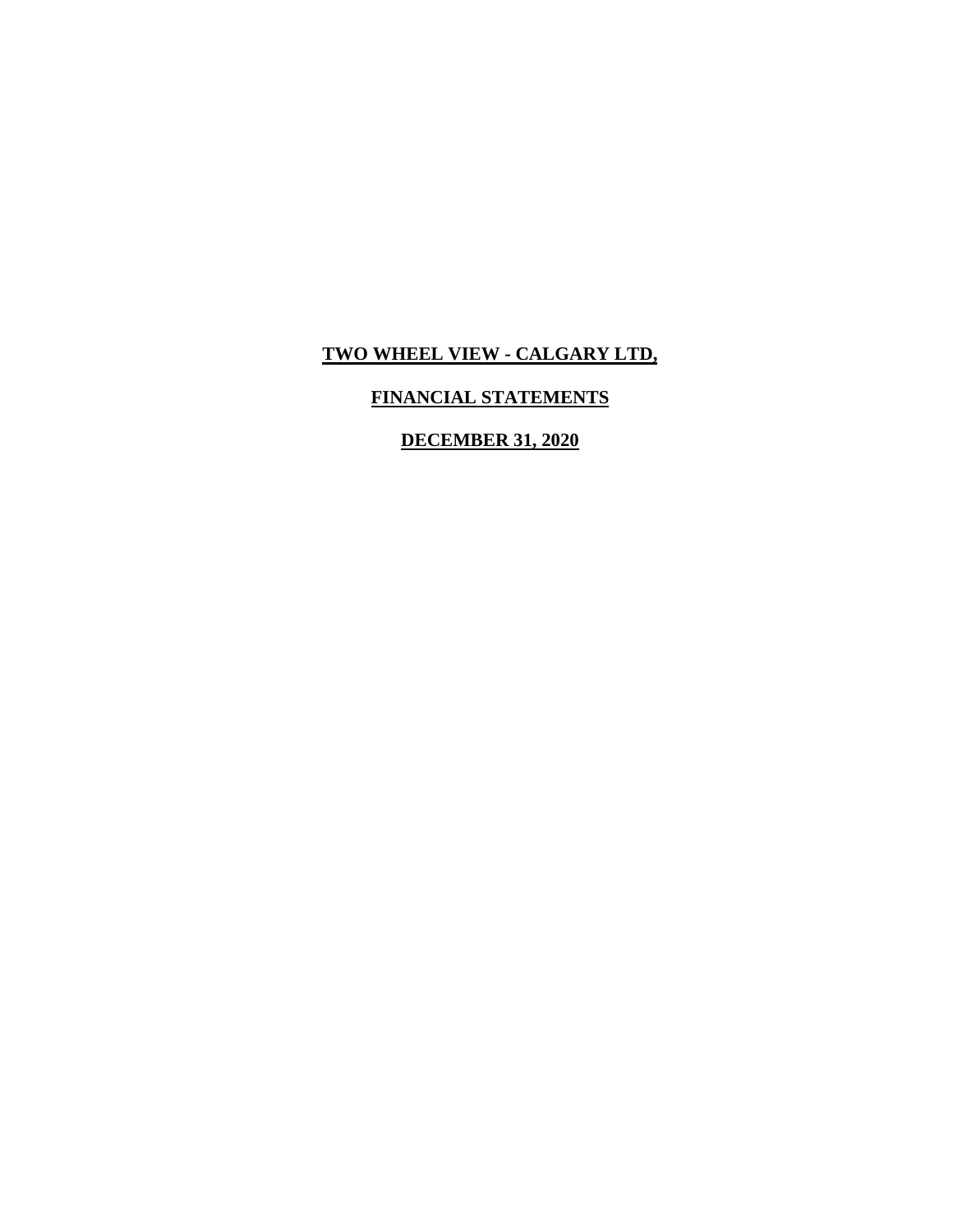## **FINANCIAL STATEMENTS**

## **DECEMBER 31, 2020**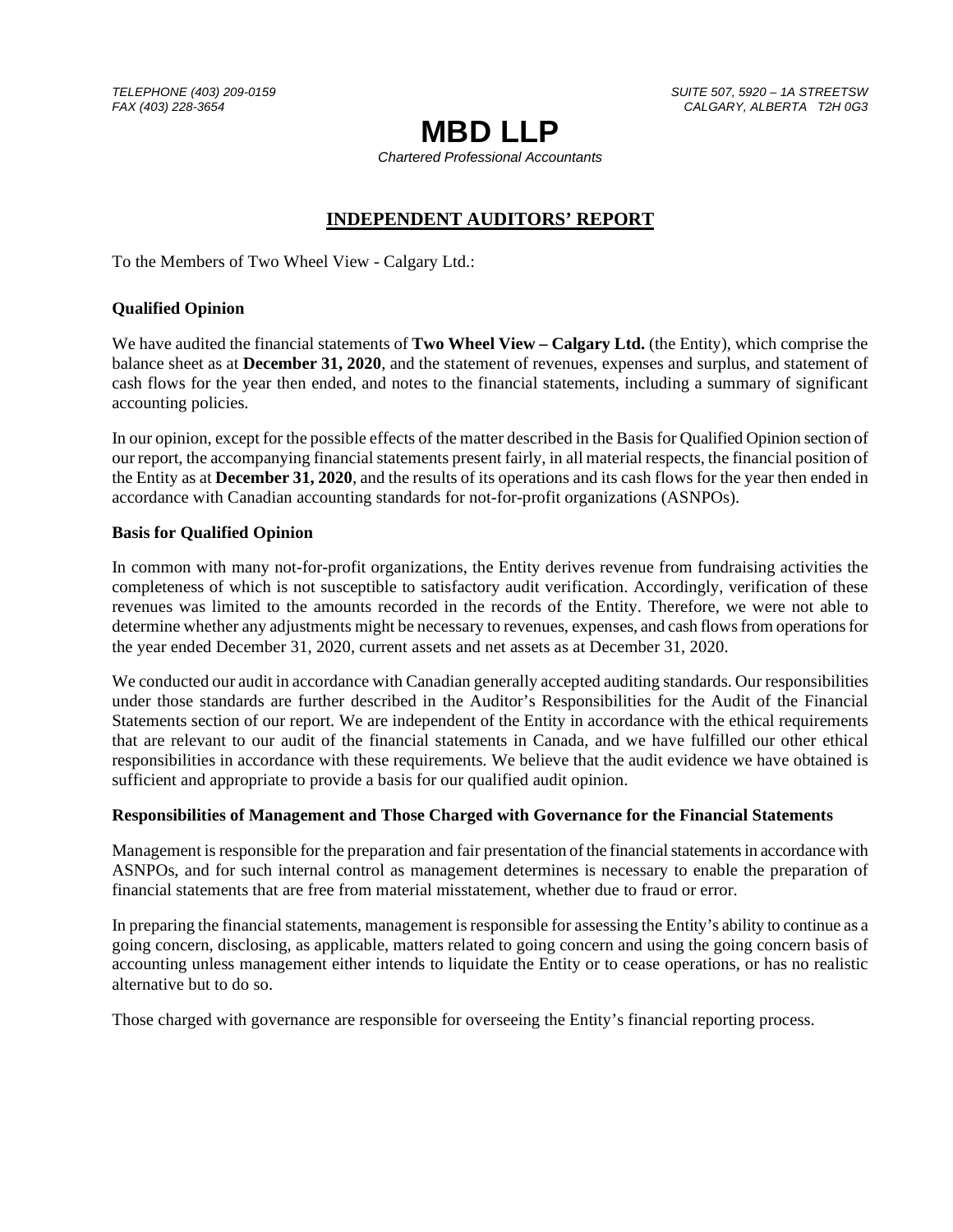*TELEPHONE (403) 209-0159 SUITE 507, 5920 – 1A STREETSW FAX (403) 228-3654 CALGARY, ALBERTA T2H 0G3* 

# **MBD LLP**

*Chartered Professional Accountants* 

## **INDEPENDENT AUDITORS' REPORT**

To the Members of Two Wheel View - Calgary Ltd.:

## **Qualified Opinion**

We have audited the financial statements of **Two Wheel View – Calgary Ltd.** (the Entity), which comprise the balance sheet as at **December 31, 2020**, and the statement of revenues, expenses and surplus, and statement of cash flows for the year then ended, and notes to the financial statements, including a summary of significant accounting policies.

In our opinion, except for the possible effects of the matter described in the Basis for Qualified Opinion section of our report, the accompanying financial statements present fairly, in all material respects, the financial position of the Entity as at **December 31, 2020**, and the results of its operations and its cash flows for the year then ended in accordance with Canadian accounting standards for not-for-profit organizations (ASNPOs).

#### **Basis for Qualified Opinion**

In common with many not-for-profit organizations, the Entity derives revenue from fundraising activities the completeness of which is not susceptible to satisfactory audit verification. Accordingly, verification of these revenues was limited to the amounts recorded in the records of the Entity. Therefore, we were not able to determine whether any adjustments might be necessary to revenues, expenses, and cash flows from operations for the year ended December 31, 2020, current assets and net assets as at December 31, 2020.

We conducted our audit in accordance with Canadian generally accepted auditing standards. Our responsibilities under those standards are further described in the Auditor's Responsibilities for the Audit of the Financial Statements section of our report. We are independent of the Entity in accordance with the ethical requirements that are relevant to our audit of the financial statements in Canada, and we have fulfilled our other ethical responsibilities in accordance with these requirements. We believe that the audit evidence we have obtained is sufficient and appropriate to provide a basis for our qualified audit opinion.

#### **Responsibilities of Management and Those Charged with Governance for the Financial Statements**

Management is responsible for the preparation and fair presentation of the financial statements in accordance with ASNPOs, and for such internal control as management determines is necessary to enable the preparation of financial statements that are free from material misstatement, whether due to fraud or error.

In preparing the financial statements, management is responsible for assessing the Entity's ability to continue as a going concern, disclosing, as applicable, matters related to going concern and using the going concern basis of accounting unless management either intends to liquidate the Entity or to cease operations, or has no realistic alternative but to do so.

Those charged with governance are responsible for overseeing the Entity's financial reporting process.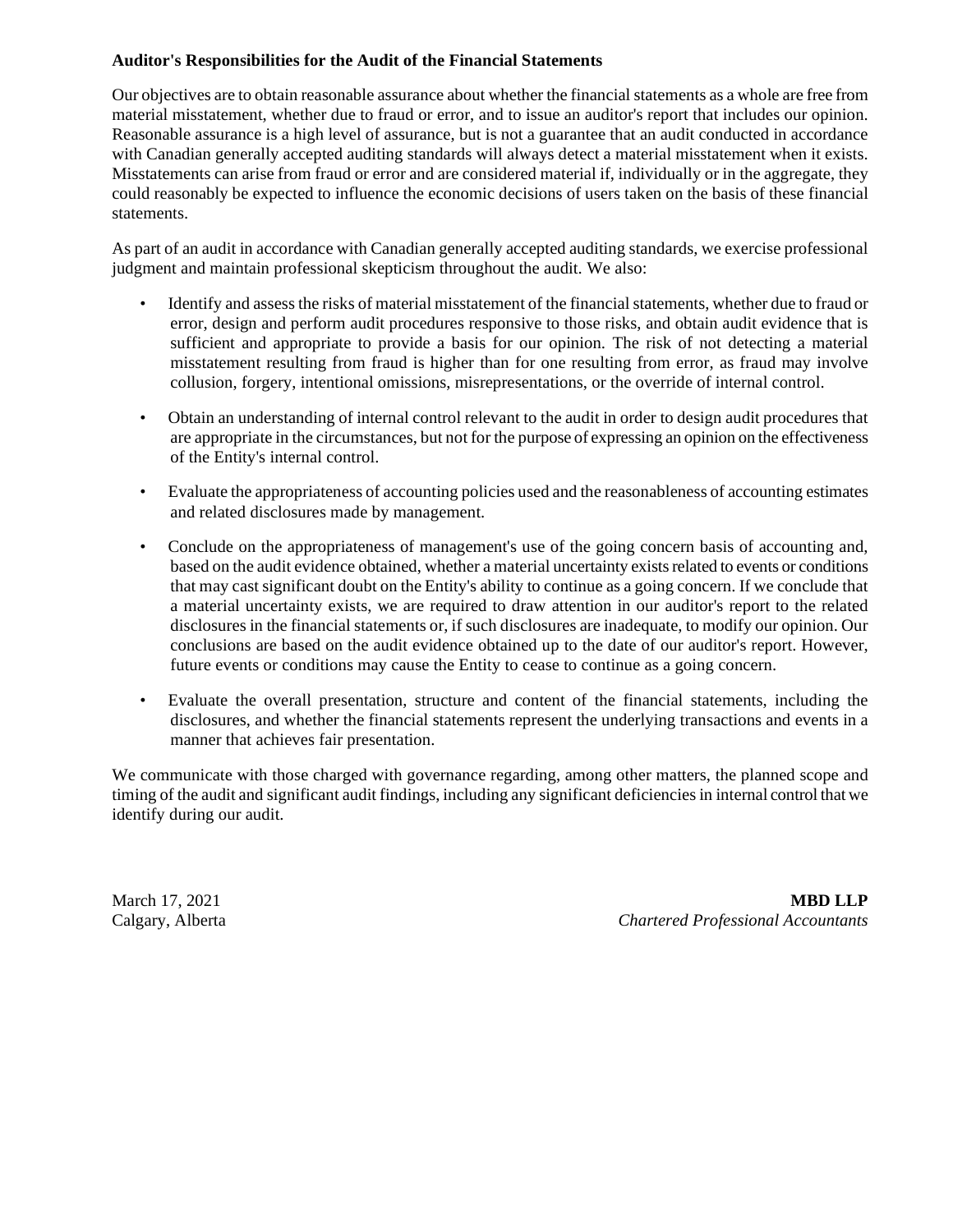#### **Auditor's Responsibilities for the Audit of the Financial Statements**

Our objectives are to obtain reasonable assurance about whether the financial statements as a whole are free from material misstatement, whether due to fraud or error, and to issue an auditor's report that includes our opinion. Reasonable assurance is a high level of assurance, but is not a guarantee that an audit conducted in accordance with Canadian generally accepted auditing standards will always detect a material misstatement when it exists. Misstatements can arise from fraud or error and are considered material if, individually or in the aggregate, they could reasonably be expected to influence the economic decisions of users taken on the basis of these financial statements.

As part of an audit in accordance with Canadian generally accepted auditing standards, we exercise professional judgment and maintain professional skepticism throughout the audit. We also:

- Identify and assess the risks of material misstatement of the financial statements, whether due to fraud or error, design and perform audit procedures responsive to those risks, and obtain audit evidence that is sufficient and appropriate to provide a basis for our opinion. The risk of not detecting a material misstatement resulting from fraud is higher than for one resulting from error, as fraud may involve collusion, forgery, intentional omissions, misrepresentations, or the override of internal control.
- Obtain an understanding of internal control relevant to the audit in order to design audit procedures that are appropriate in the circumstances, but not for the purpose of expressing an opinion on the effectiveness of the Entity's internal control.
- Evaluate the appropriateness of accounting policies used and the reasonableness of accounting estimates and related disclosures made by management.
- Conclude on the appropriateness of management's use of the going concern basis of accounting and, based on the audit evidence obtained, whether a material uncertainty exists related to events or conditions that may cast significant doubt on the Entity's ability to continue as a going concern. If we conclude that a material uncertainty exists, we are required to draw attention in our auditor's report to the related disclosures in the financial statements or, if such disclosures are inadequate, to modify our opinion. Our conclusions are based on the audit evidence obtained up to the date of our auditor's report. However, future events or conditions may cause the Entity to cease to continue as a going concern.
- Evaluate the overall presentation, structure and content of the financial statements, including the disclosures, and whether the financial statements represent the underlying transactions and events in a manner that achieves fair presentation.

We communicate with those charged with governance regarding, among other matters, the planned scope and timing of the audit and significant audit findings, including any significant deficiencies in internal control that we identify during our audit.

March 17, 2021 **MBD LLP** Calgary, Alberta *Chartered Professional Accountants*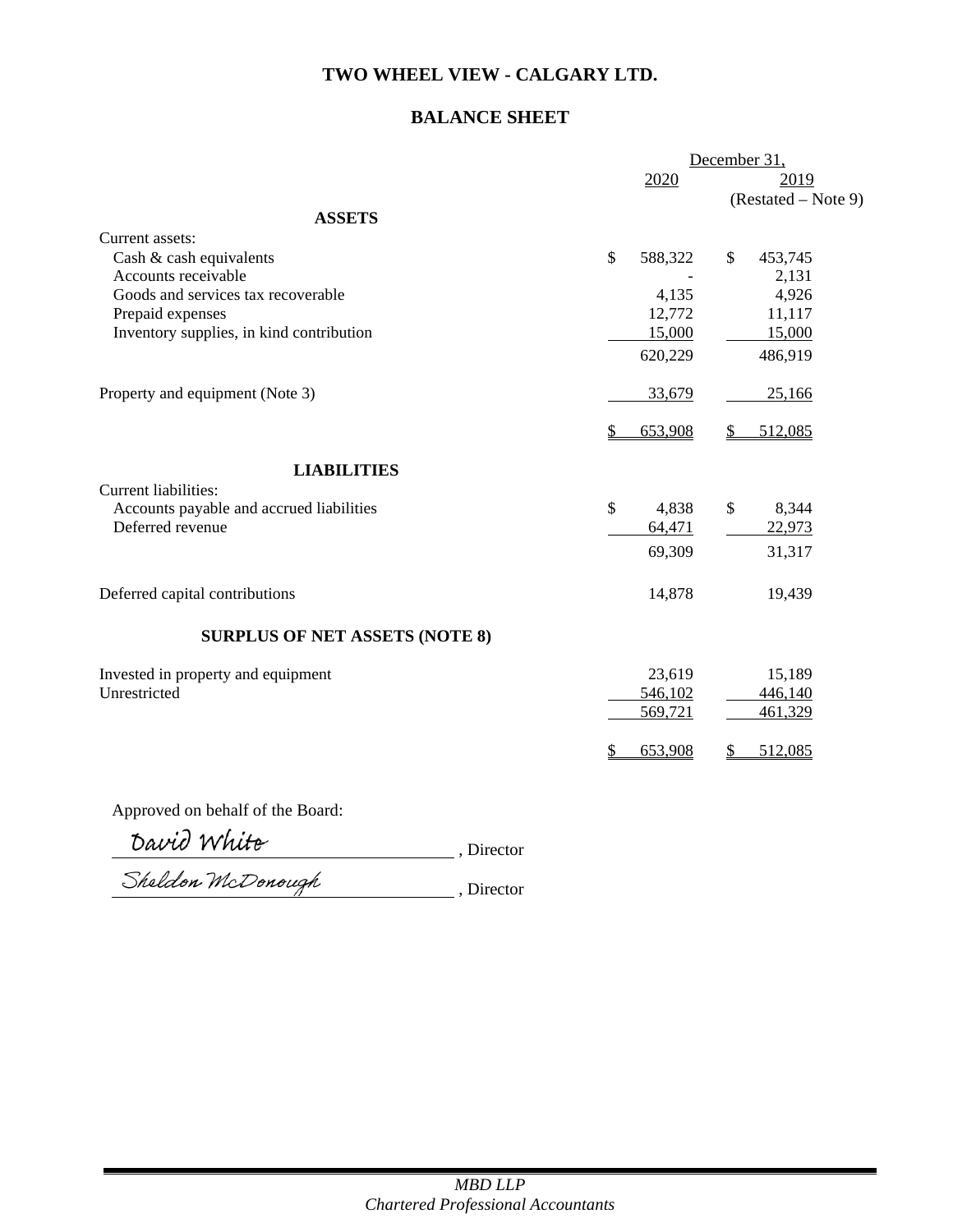## **BALANCE SHEET**

|                                          |               | December 31,            |
|------------------------------------------|---------------|-------------------------|
|                                          | 2020          | 2019                    |
|                                          |               | (Restated – Note 9)     |
| <b>ASSETS</b>                            |               |                         |
| Current assets:                          |               |                         |
| Cash & cash equivalents                  | \$<br>588,322 | $\mathbb{S}$<br>453,745 |
| Accounts receivable                      |               | 2,131                   |
| Goods and services tax recoverable       | 4,135         | 4,926                   |
| Prepaid expenses                         | 12,772        | 11,117                  |
| Inventory supplies, in kind contribution | 15,000        | 15,000                  |
|                                          | 620,229       | 486,919                 |
| Property and equipment (Note 3)          | 33,679        | 25,166                  |
|                                          | \$<br>653,908 | 512,085                 |
| <b>LIABILITIES</b>                       |               |                         |
| Current liabilities:                     |               |                         |
| Accounts payable and accrued liabilities | \$<br>4,838   | \$<br>8,344             |
| Deferred revenue                         | 64,471        | 22,973                  |
|                                          | 69,309        | 31,317                  |
| Deferred capital contributions           | 14,878        | 19,439                  |
| <b>SURPLUS OF NET ASSETS (NOTE 8)</b>    |               |                         |
| Invested in property and equipment       | 23,619        | 15,189                  |
| Unrestricted                             | 546,102       | 446,140                 |
|                                          | 569,721       | 461,329                 |
|                                          | 653,908       | 512,085                 |
|                                          |               |                         |

Approved on behalf of the Board:

*Cavid YVYULE* , Director

hercion mcDonough Reserves Reserves , Director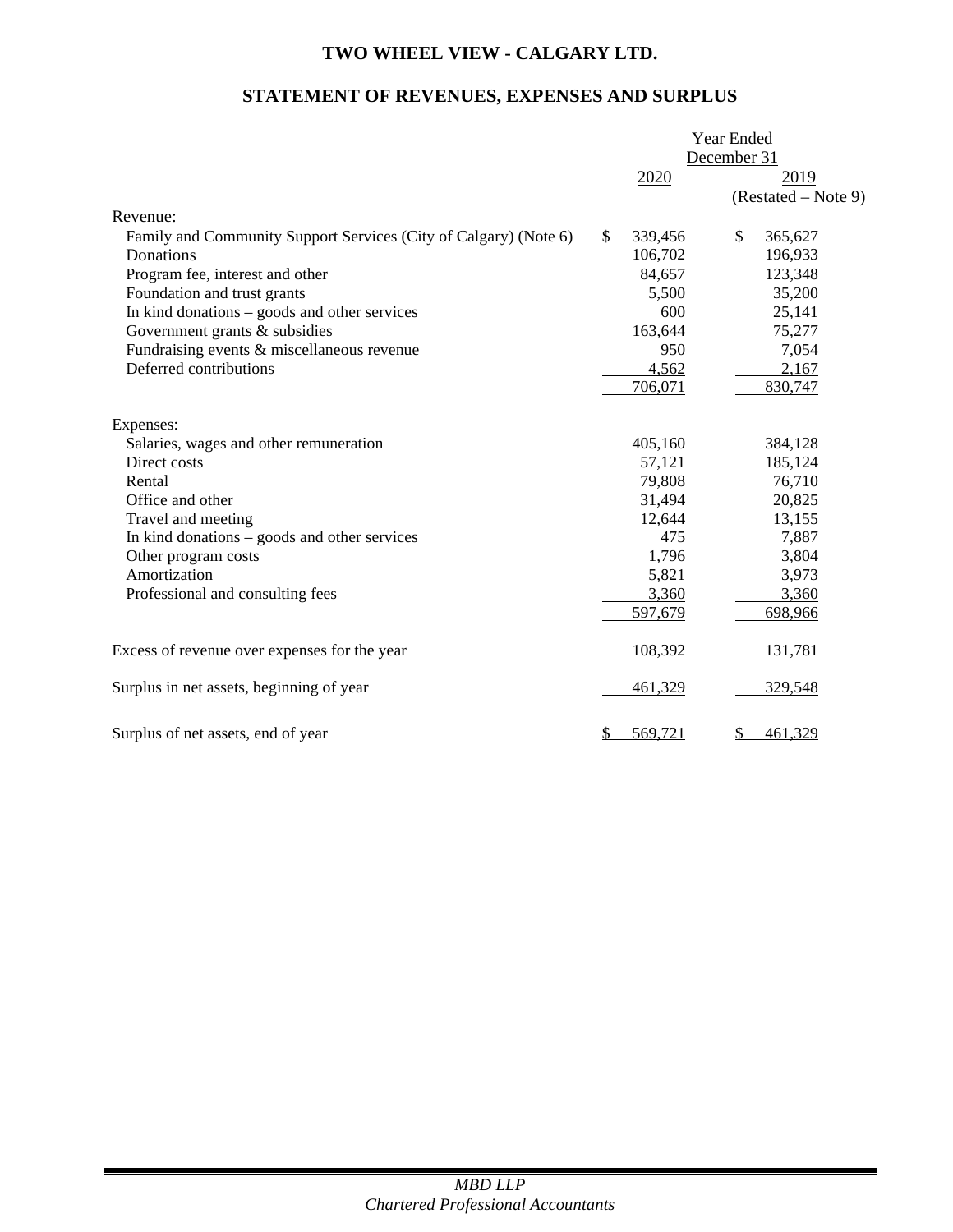## **STATEMENT OF REVENUES, EXPENSES AND SURPLUS**

|                                                                  |               | Year Ended  |                       |  |
|------------------------------------------------------------------|---------------|-------------|-----------------------|--|
|                                                                  |               | December 31 |                       |  |
|                                                                  | 2020          |             | 2019                  |  |
|                                                                  |               |             | $(Restated - Note 9)$ |  |
| Revenue:                                                         |               |             |                       |  |
| Family and Community Support Services (City of Calgary) (Note 6) | \$<br>339,456 | \$          | 365,627               |  |
| Donations                                                        | 106,702       |             | 196,933               |  |
| Program fee, interest and other                                  | 84,657        |             | 123,348               |  |
| Foundation and trust grants                                      | 5,500         |             | 35,200                |  |
| In kind donations - goods and other services                     | 600           |             | 25,141                |  |
| Government grants & subsidies                                    | 163,644       |             | 75,277                |  |
| Fundraising events & miscellaneous revenue                       | 950           |             | 7,054                 |  |
| Deferred contributions                                           | 4,562         |             | 2,167                 |  |
|                                                                  | 706,071       |             | 830,747               |  |
| Expenses:                                                        |               |             |                       |  |
| Salaries, wages and other remuneration                           | 405,160       |             | 384,128               |  |
| Direct costs                                                     | 57,121        |             | 185,124               |  |
| Rental                                                           | 79,808        |             | 76,710                |  |
| Office and other                                                 | 31,494        |             | 20,825                |  |
| Travel and meeting                                               | 12,644        |             | 13,155                |  |
| In kind donations – goods and other services                     | 475           |             | 7,887                 |  |
| Other program costs                                              | 1,796         |             | 3,804                 |  |
| Amortization                                                     | 5,821         |             | 3,973                 |  |
| Professional and consulting fees                                 | 3,360         |             | 3,360                 |  |
|                                                                  | 597,679       |             | 698,966               |  |
| Excess of revenue over expenses for the year                     | 108,392       |             | 131,781               |  |
| Surplus in net assets, beginning of year                         | 461,329       |             | 329,548               |  |
| Surplus of net assets, end of year                               | \$<br>569,721 | \$          | 461,329               |  |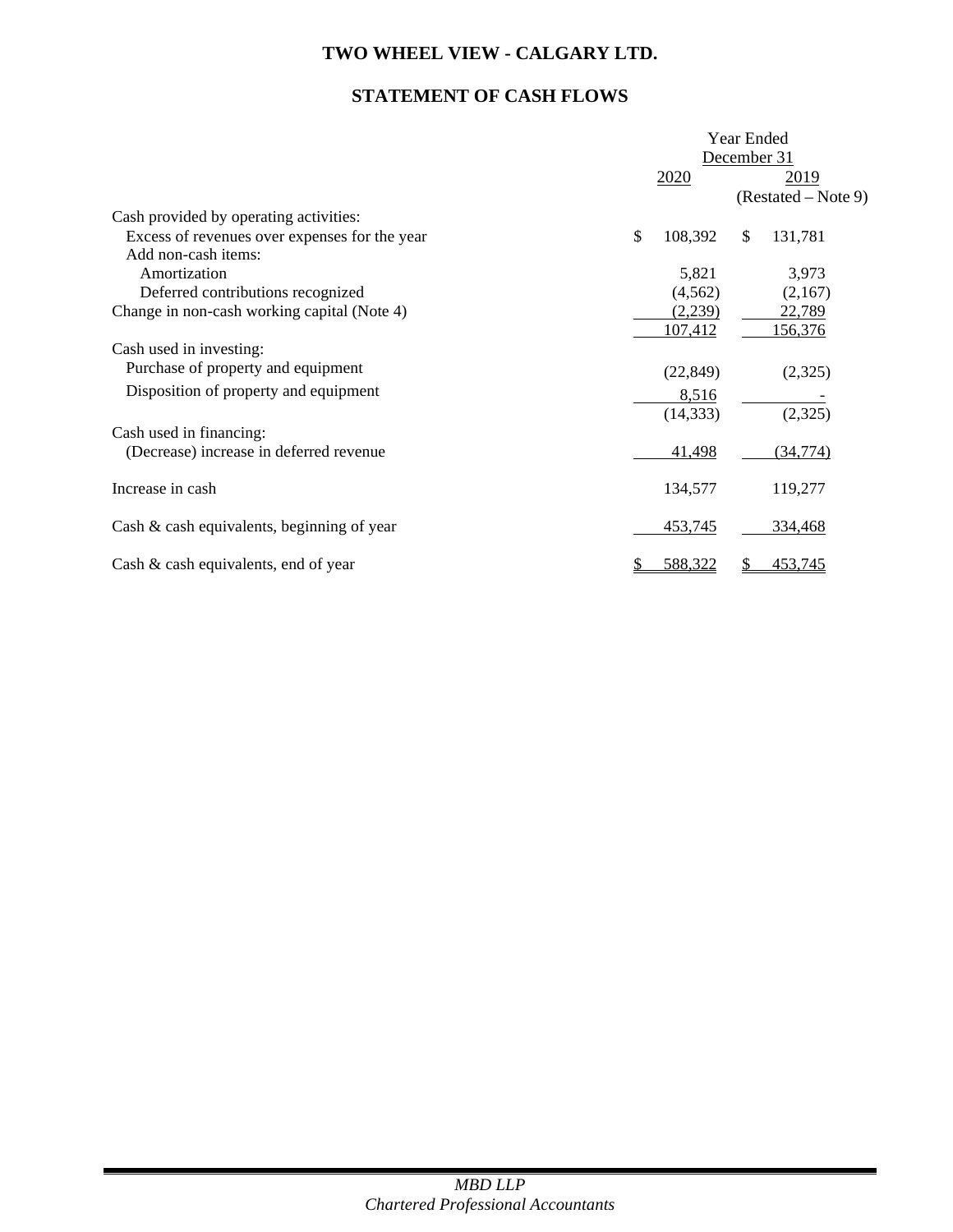## **STATEMENT OF CASH FLOWS**

|                                               |             | Year Ended |                     |  |  |  |
|-----------------------------------------------|-------------|------------|---------------------|--|--|--|
|                                               | December 31 |            |                     |  |  |  |
|                                               |             | 2019       |                     |  |  |  |
|                                               |             |            | (Restated – Note 9) |  |  |  |
| Cash provided by operating activities:        |             |            |                     |  |  |  |
| Excess of revenues over expenses for the year | \$          | 108,392    | \$<br>131,781       |  |  |  |
| Add non-cash items:                           |             |            |                     |  |  |  |
| Amortization                                  |             | 5,821      | 3,973               |  |  |  |
| Deferred contributions recognized             |             | (4, 562)   | (2,167)             |  |  |  |
| Change in non-cash working capital (Note 4)   |             | (2,239)    | 22,789              |  |  |  |
|                                               |             | 107,412    | 156,376             |  |  |  |
| Cash used in investing:                       |             |            |                     |  |  |  |
| Purchase of property and equipment            |             | (22, 849)  | (2,325)             |  |  |  |
| Disposition of property and equipment         |             | 8,516      |                     |  |  |  |
|                                               |             | (14, 333)  | (2,325)             |  |  |  |
| Cash used in financing:                       |             |            |                     |  |  |  |
| (Decrease) increase in deferred revenue       |             | 41,498     | (34, 774)           |  |  |  |
|                                               |             |            |                     |  |  |  |
| Increase in cash                              |             | 134,577    | 119,277             |  |  |  |
| Cash $\&$ cash equivalents, beginning of year |             | 453,745    | 334,468             |  |  |  |
| Cash & cash equivalents, end of year          |             | 588,322    | 453,745             |  |  |  |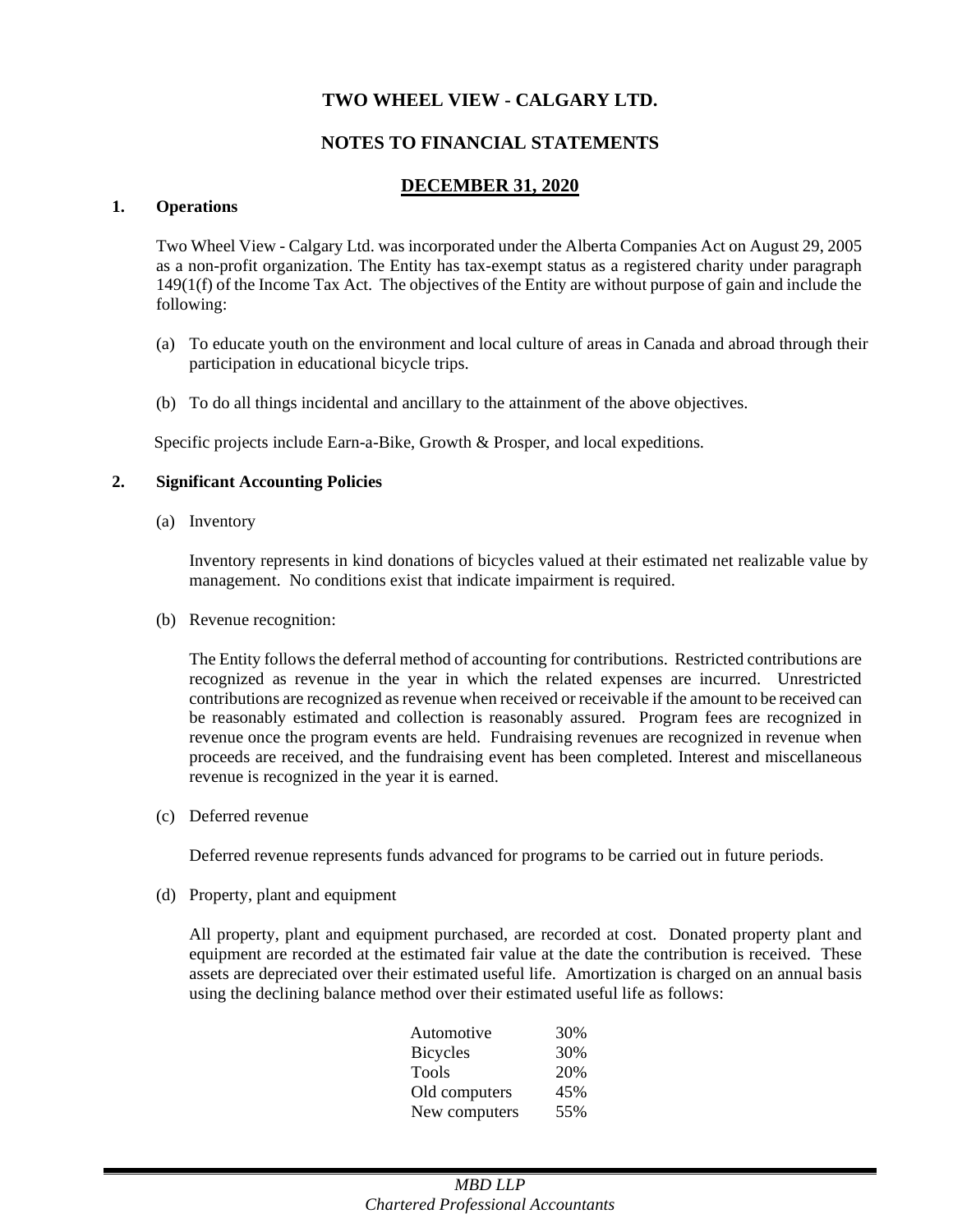## **NOTES TO FINANCIAL STATEMENTS**

## **DECEMBER 31, 2020**

#### **1. Operations**

Two Wheel View - Calgary Ltd. was incorporated under the Alberta Companies Act on August 29, 2005 as a non-profit organization. The Entity has tax-exempt status as a registered charity under paragraph 149(1(f) of the Income Tax Act. The objectives of the Entity are without purpose of gain and include the following:

- (a) To educate youth on the environment and local culture of areas in Canada and abroad through their participation in educational bicycle trips.
- (b) To do all things incidental and ancillary to the attainment of the above objectives.

Specific projects include Earn-a-Bike, Growth & Prosper, and local expeditions.

#### **2. Significant Accounting Policies**

(a) Inventory

Inventory represents in kind donations of bicycles valued at their estimated net realizable value by management. No conditions exist that indicate impairment is required.

(b) Revenue recognition:

The Entity follows the deferral method of accounting for contributions. Restricted contributions are recognized as revenue in the year in which the related expenses are incurred. Unrestricted contributions are recognized as revenue when received or receivable if the amount to be received can be reasonably estimated and collection is reasonably assured. Program fees are recognized in revenue once the program events are held. Fundraising revenues are recognized in revenue when proceeds are received, and the fundraising event has been completed. Interest and miscellaneous revenue is recognized in the year it is earned.

(c) Deferred revenue

Deferred revenue represents funds advanced for programs to be carried out in future periods.

(d) Property, plant and equipment

All property, plant and equipment purchased, are recorded at cost. Donated property plant and equipment are recorded at the estimated fair value at the date the contribution is received. These assets are depreciated over their estimated useful life. Amortization is charged on an annual basis using the declining balance method over their estimated useful life as follows:

| Automotive      | 30% |
|-----------------|-----|
| <b>Bicycles</b> | 30% |
| <b>Tools</b>    | 20% |
| Old computers   | 45% |
| New computers   | 55% |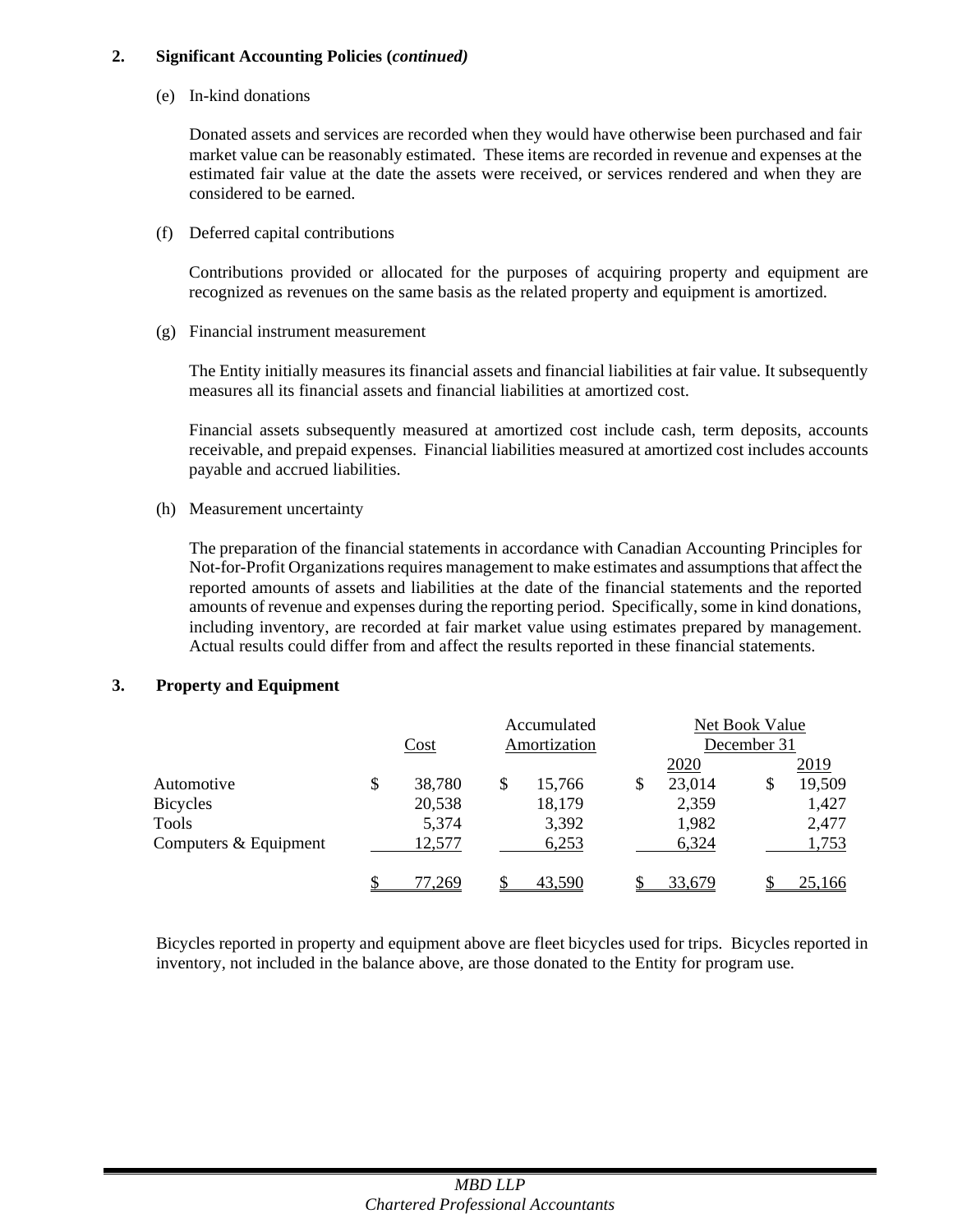#### **2. Significant Accounting Policies (***continued)*

(e) In-kind donations

Donated assets and services are recorded when they would have otherwise been purchased and fair market value can be reasonably estimated. These items are recorded in revenue and expenses at the estimated fair value at the date the assets were received, or services rendered and when they are considered to be earned.

(f) Deferred capital contributions

Contributions provided or allocated for the purposes of acquiring property and equipment are recognized as revenues on the same basis as the related property and equipment is amortized.

(g) Financial instrument measurement

The Entity initially measures its financial assets and financial liabilities at fair value. It subsequently measures all its financial assets and financial liabilities at amortized cost.

Financial assets subsequently measured at amortized cost include cash, term deposits, accounts receivable, and prepaid expenses. Financial liabilities measured at amortized cost includes accounts payable and accrued liabilities.

(h) Measurement uncertainty

The preparation of the financial statements in accordance with Canadian Accounting Principles for Not-for-Profit Organizations requires management to make estimates and assumptions that affect the reported amounts of assets and liabilities at the date of the financial statements and the reported amounts of revenue and expenses during the reporting period. Specifically, some in kind donations, including inventory, are recorded at fair market value using estimates prepared by management. Actual results could differ from and affect the results reported in these financial statements.

## **3. Property and Equipment**

|                       |    |        |  | Accumulated  | Net Book Value |             |    |        |  |
|-----------------------|----|--------|--|--------------|----------------|-------------|----|--------|--|
|                       |    | Cost   |  | Amortization |                | December 31 |    |        |  |
|                       |    |        |  |              |                | 2020        |    | 2019   |  |
| Automotive            | \$ | 38,780 |  | 15,766       | \$             | 23,014      | \$ | 19,509 |  |
| <b>Bicycles</b>       |    | 20,538 |  | 18,179       |                | 2,359       |    | 1,427  |  |
| Tools                 |    | 5,374  |  | 3,392        |                | 1,982       |    | 2,477  |  |
| Computers & Equipment |    | 12,577 |  | 6,253        |                | 6,324       |    | 1,753  |  |
|                       |    | 7.269  |  | 43,590       |                | 33,679      |    | 25,166 |  |

Bicycles reported in property and equipment above are fleet bicycles used for trips. Bicycles reported in inventory, not included in the balance above, are those donated to the Entity for program use.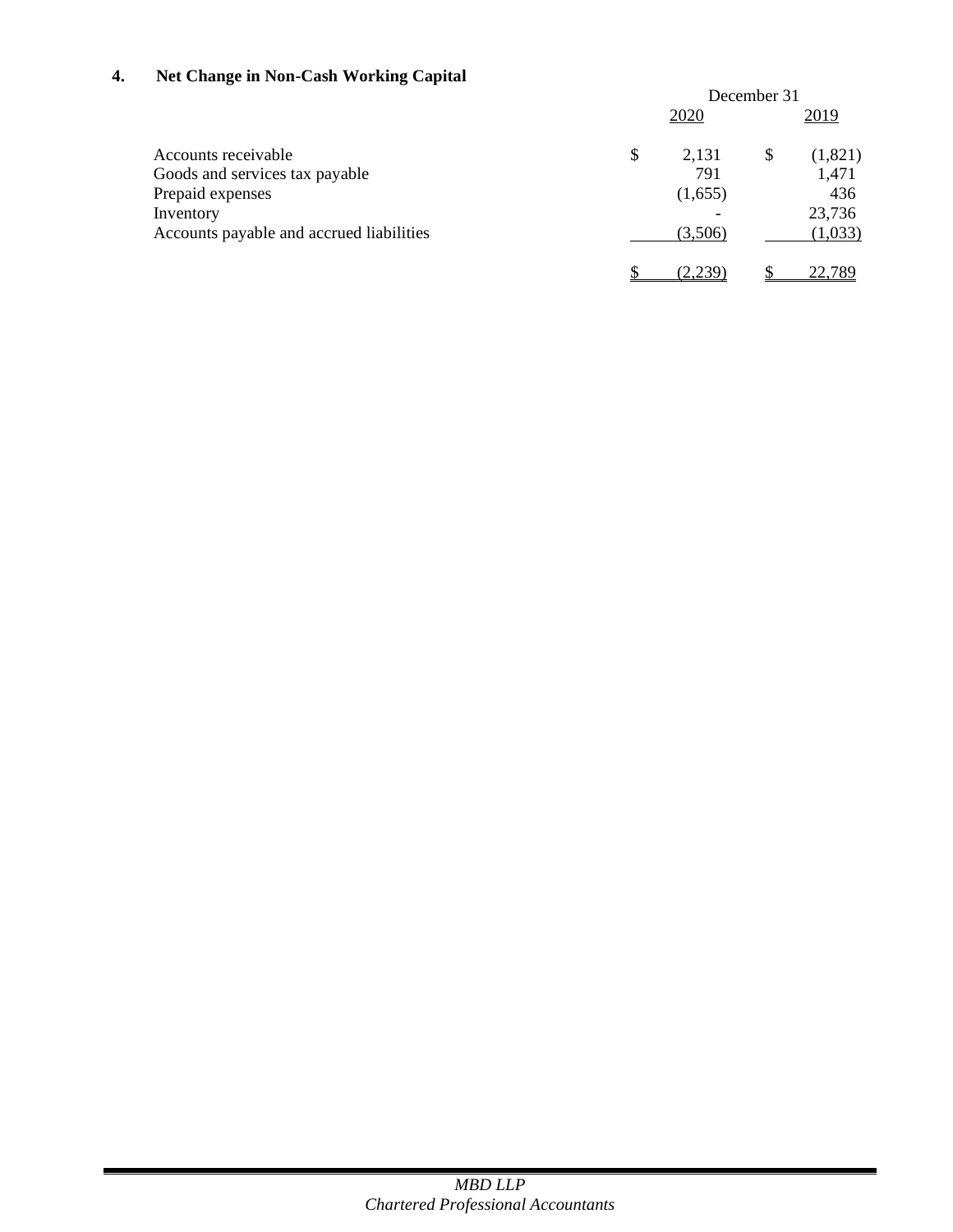## **4. Net Change in Non-Cash Working Capital**

|                                          |    | December 31   |    |               |
|------------------------------------------|----|---------------|----|---------------|
|                                          |    | 2020          |    | 2019          |
| Accounts receivable                      | \$ | 2,131         | \$ | (1,821)       |
| Goods and services tax payable           |    | 791           |    | 1,471         |
| Prepaid expenses                         |    | (1,655)       |    | 436           |
| Inventory                                |    |               |    | 23,736        |
| Accounts payable and accrued liabilities |    | (3,506)       |    | (1,033)       |
|                                          |    | <u>(2,239</u> |    | <u>22.789</u> |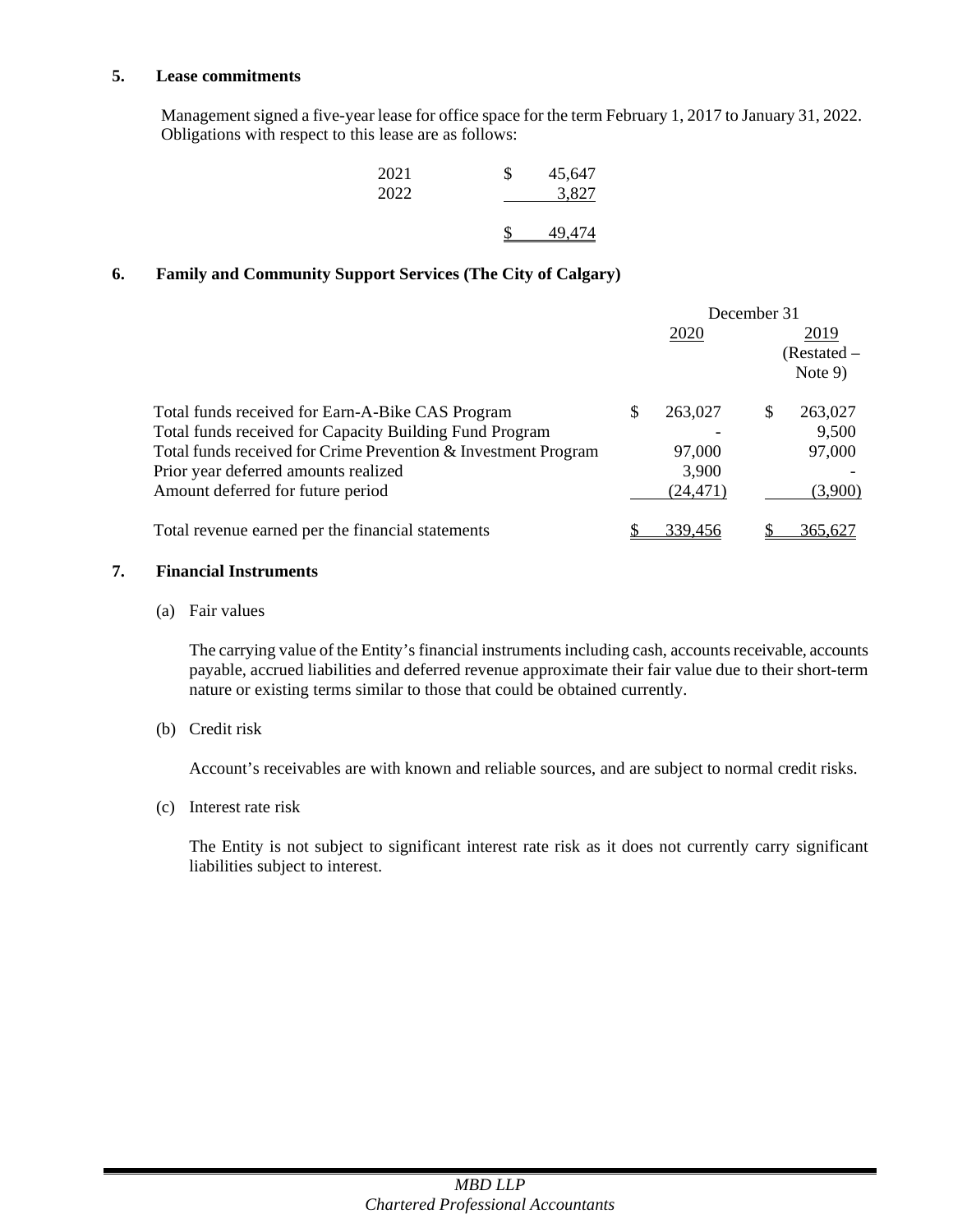#### **5. Lease commitments**

Management signed a five-year lease for office space for the term February 1, 2017 to January 31, 2022. Obligations with respect to this lease are as follows:

| 2021 | \$<br>45,647 |
|------|--------------|
| 2022 | 3,827        |
|      | 49.474       |

## **6. Family and Community Support Services (The City of Calgary)**

|                                                                |   |           | December 31 |             |
|----------------------------------------------------------------|---|-----------|-------------|-------------|
|                                                                |   | 2020      |             | 2019        |
|                                                                |   |           |             | (Restated – |
|                                                                |   |           |             | Note $9$ )  |
| Total funds received for Earn-A-Bike CAS Program               | S | 263,027   | S           | 263,027     |
| Total funds received for Capacity Building Fund Program        |   |           |             | 9,500       |
| Total funds received for Crime Prevention & Investment Program |   | 97,000    |             | 97,000      |
| Prior year deferred amounts realized                           |   | 3,900     |             |             |
| Amount deferred for future period                              |   | (24, 471) |             | (3,900)     |
| Total revenue earned per the financial statements              |   | 339,456   |             | 365,627     |

#### **7. Financial Instruments**

(a) Fair values

The carrying value of the Entity's financial instruments including cash, accounts receivable, accounts payable, accrued liabilities and deferred revenue approximate their fair value due to their short-term nature or existing terms similar to those that could be obtained currently.

(b) Credit risk

Account's receivables are with known and reliable sources, and are subject to normal credit risks.

(c) Interest rate risk

The Entity is not subject to significant interest rate risk as it does not currently carry significant liabilities subject to interest.